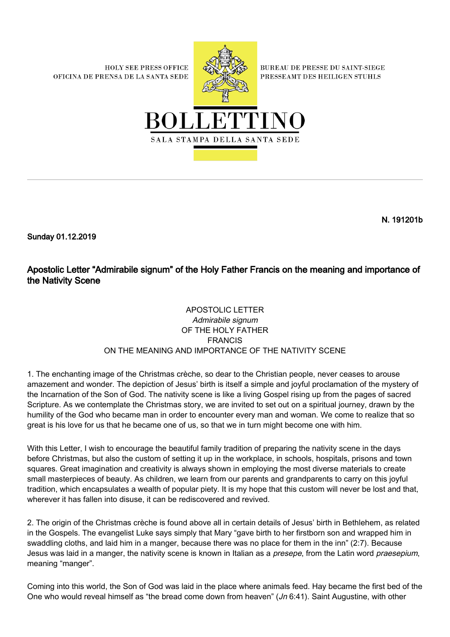**HOLY SEE PRESS OFFICE** OFICINA DE PRENSA DE LA SANTA SEDE



**BUREAU DE PRESSE DU SAINT-SIEGE** PRESSEAMT DES HEILIGEN STUHLS



N. 191201b

Sunday 01.12.2019

Apostolic Letter "Admirabile signum" of the Holy Father Francis on the meaning and importance of the Nativity Scene

## APOSTOLIC LETTER Admirabile signum OF THE HOLY FATHER FRANCIS ON THE MEANING AND IMPORTANCE OF THE NATIVITY SCENE

1. The enchanting image of the Christmas crèche, so dear to the Christian people, never ceases to arouse amazement and wonder. The depiction of Jesus' birth is itself a simple and joyful proclamation of the mystery of the Incarnation of the Son of God. The nativity scene is like a living Gospel rising up from the pages of sacred Scripture. As we contemplate the Christmas story, we are invited to set out on a spiritual journey, drawn by the humility of the God who became man in order to encounter every man and woman. We come to realize that so great is his love for us that he became one of us, so that we in turn might become one with him.

With this Letter, I wish to encourage the beautiful family tradition of preparing the nativity scene in the days before Christmas, but also the custom of setting it up in the workplace, in schools, hospitals, prisons and town squares. Great imagination and creativity is always shown in employing the most diverse materials to create small masterpieces of beauty. As children, we learn from our parents and grandparents to carry on this joyful tradition, which encapsulates a wealth of popular piety. It is my hope that this custom will never be lost and that, wherever it has fallen into disuse, it can be rediscovered and revived.

2. The origin of the Christmas crèche is found above all in certain details of Jesus' birth in Bethlehem, as related in the Gospels. The evangelist Luke says simply that Mary "gave birth to her firstborn son and wrapped him in swaddling cloths, and laid him in a manger, because there was no place for them in the inn" (2:7). Because Jesus was laid in a manger, the nativity scene is known in Italian as a presepe, from the Latin word praesepium, meaning "manger".

Coming into this world, the Son of God was laid in the place where animals feed. Hay became the first bed of the One who would reveal himself as "the bread come down from heaven" ( $Jn$  6:41). Saint Augustine, with other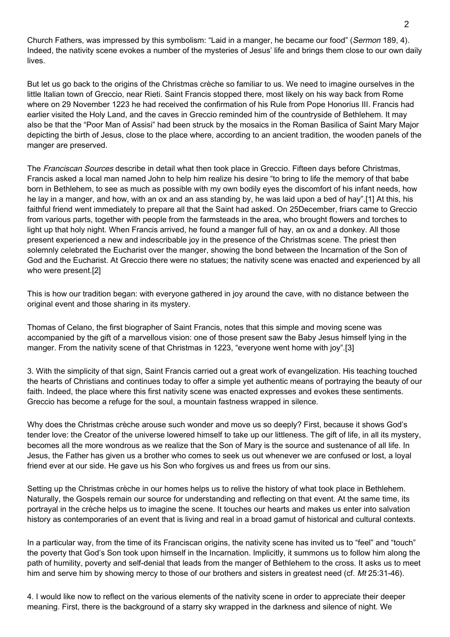Church Fathers, was impressed by this symbolism: "Laid in a manger, he became our food" (Sermon 189, 4). Indeed, the nativity scene evokes a number of the mysteries of Jesus' life and brings them close to our own daily lives.

But let us go back to the origins of the Christmas crèche so familiar to us. We need to imagine ourselves in the little Italian town of Greccio, near Rieti. Saint Francis stopped there, most likely on his way back from Rome where on 29 November 1223 he had received the confirmation of his Rule from Pope Honorius III. Francis had earlier visited the Holy Land, and the caves in Greccio reminded him of the countryside of Bethlehem. It may also be that the "Poor Man of Assisi" had been struck by the mosaics in the Roman Basilica of Saint Mary Major depicting the birth of Jesus, close to the place where, according to an ancient tradition, the wooden panels of the manger are preserved.

The Franciscan Sources describe in detail what then took place in Greccio. Fifteen days before Christmas, Francis asked a local man named John to help him realize his desire "to bring to life the memory of that babe born in Bethlehem, to see as much as possible with my own bodily eyes the discomfort of his infant needs, how he lay in a manger, and how, with an ox and an ass standing by, he was laid upon a bed of hay".[1] At this, his faithful friend went immediately to prepare all that the Saint had asked. On 25December, friars came to Greccio from various parts, together with people from the farmsteads in the area, who brought flowers and torches to light up that holy night. When Francis arrived, he found a manger full of hay, an ox and a donkey. All those present experienced a new and indescribable joy in the presence of the Christmas scene. The priest then solemnly celebrated the Eucharist over the manger, showing the bond between the Incarnation of the Son of God and the Eucharist. At Greccio there were no statues; the nativity scene was enacted and experienced by all who were present.[2]

This is how our tradition began: with everyone gathered in joy around the cave, with no distance between the original event and those sharing in its mystery.

Thomas of Celano, the first biographer of Saint Francis, notes that this simple and moving scene was accompanied by the gift of a marvellous vision: one of those present saw the Baby Jesus himself lying in the manger. From the nativity scene of that Christmas in 1223, "everyone went home with joy".[3]

3. With the simplicity of that sign, Saint Francis carried out a great work of evangelization. His teaching touched the hearts of Christians and continues today to offer a simple yet authentic means of portraying the beauty of our faith. Indeed, the place where this first nativity scene was enacted expresses and evokes these sentiments. Greccio has become a refuge for the soul, a mountain fastness wrapped in silence.

Why does the Christmas crèche arouse such wonder and move us so deeply? First, because it shows God's tender love: the Creator of the universe lowered himself to take up our littleness. The gift of life, in all its mystery, becomes all the more wondrous as we realize that the Son of Mary is the source and sustenance of all life. In Jesus, the Father has given us a brother who comes to seek us out whenever we are confused or lost, a loyal friend ever at our side. He gave us his Son who forgives us and frees us from our sins.

Setting up the Christmas crèche in our homes helps us to relive the history of what took place in Bethlehem. Naturally, the Gospels remain our source for understanding and reflecting on that event. At the same time, its portrayal in the crèche helps us to imagine the scene. It touches our hearts and makes us enter into salvation history as contemporaries of an event that is living and real in a broad gamut of historical and cultural contexts.

In a particular way, from the time of its Franciscan origins, the nativity scene has invited us to "feel" and "touch" the poverty that God's Son took upon himself in the Incarnation. Implicitly, it summons us to follow him along the path of humility, poverty and self-denial that leads from the manger of Bethlehem to the cross. It asks us to meet him and serve him by showing mercy to those of our brothers and sisters in greatest need (cf. Mt 25:31-46).

4. I would like now to reflect on the various elements of the nativity scene in order to appreciate their deeper meaning. First, there is the background of a starry sky wrapped in the darkness and silence of night. We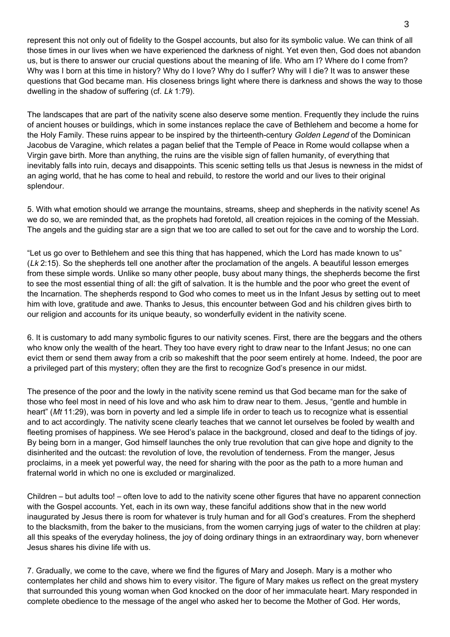represent this not only out of fidelity to the Gospel accounts, but also for its symbolic value. We can think of all those times in our lives when we have experienced the darkness of night. Yet even then, God does not abandon us, but is there to answer our crucial questions about the meaning of life. Who am I? Where do I come from? Why was I born at this time in history? Why do I love? Why do I suffer? Why will I die? It was to answer these questions that God became man. His closeness brings light where there is darkness and shows the way to those dwelling in the shadow of suffering (cf. Lk 1:79).

The landscapes that are part of the nativity scene also deserve some mention. Frequently they include the ruins of ancient houses or buildings, which in some instances replace the cave of Bethlehem and become a home for the Holy Family. These ruins appear to be inspired by the thirteenth-century Golden Legend of the Dominican Jacobus de Varagine, which relates a pagan belief that the Temple of Peace in Rome would collapse when a Virgin gave birth. More than anything, the ruins are the visible sign of fallen humanity, of everything that inevitably falls into ruin, decays and disappoints. This scenic setting tells us that Jesus is newness in the midst of an aging world, that he has come to heal and rebuild, to restore the world and our lives to their original splendour.

5. With what emotion should we arrange the mountains, streams, sheep and shepherds in the nativity scene! As we do so, we are reminded that, as the prophets had foretold, all creation rejoices in the coming of the Messiah. The angels and the guiding star are a sign that we too are called to set out for the cave and to worship the Lord.

"Let us go over to Bethlehem and see this thing that has happened, which the Lord has made known to us" (Lk 2:15). So the shepherds tell one another after the proclamation of the angels. A beautiful lesson emerges from these simple words. Unlike so many other people, busy about many things, the shepherds become the first to see the most essential thing of all: the gift of salvation. It is the humble and the poor who greet the event of the Incarnation. The shepherds respond to God who comes to meet us in the Infant Jesus by setting out to meet him with love, gratitude and awe. Thanks to Jesus, this encounter between God and his children gives birth to our religion and accounts for its unique beauty, so wonderfully evident in the nativity scene.

6. It is customary to add many symbolic figures to our nativity scenes. First, there are the beggars and the others who know only the wealth of the heart. They too have every right to draw near to the Infant Jesus; no one can evict them or send them away from a crib so makeshift that the poor seem entirely at home. Indeed, the poor are a privileged part of this mystery; often they are the first to recognize God's presence in our midst.

The presence of the poor and the lowly in the nativity scene remind us that God became man for the sake of those who feel most in need of his love and who ask him to draw near to them. Jesus, "gentle and humble in heart" (Mt 11:29), was born in poverty and led a simple life in order to teach us to recognize what is essential and to act accordingly. The nativity scene clearly teaches that we cannot let ourselves be fooled by wealth and fleeting promises of happiness. We see Herod's palace in the background, closed and deaf to the tidings of joy. By being born in a manger, God himself launches the only true revolution that can give hope and dignity to the disinherited and the outcast: the revolution of love, the revolution of tenderness. From the manger, Jesus proclaims, in a meek yet powerful way, the need for sharing with the poor as the path to a more human and fraternal world in which no one is excluded or marginalized.

Children – but adults too! – often love to add to the nativity scene other figures that have no apparent connection with the Gospel accounts. Yet, each in its own way, these fanciful additions show that in the new world inaugurated by Jesus there is room for whatever is truly human and for all God's creatures. From the shepherd to the blacksmith, from the baker to the musicians, from the women carrying jugs of water to the children at play: all this speaks of the everyday holiness, the joy of doing ordinary things in an extraordinary way, born whenever Jesus shares his divine life with us.

7. Gradually, we come to the cave, where we find the figures of Mary and Joseph. Mary is a mother who contemplates her child and shows him to every visitor. The figure of Mary makes us reflect on the great mystery that surrounded this young woman when God knocked on the door of her immaculate heart. Mary responded in complete obedience to the message of the angel who asked her to become the Mother of God. Her words,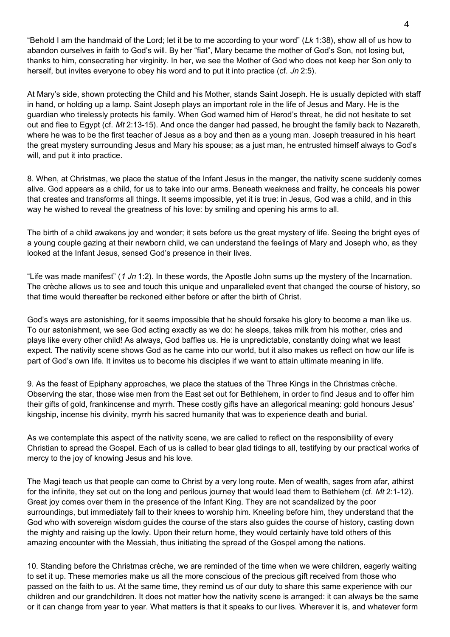"Behold I am the handmaid of the Lord; let it be to me according to your word" (Lk 1:38), show all of us how to abandon ourselves in faith to God's will. By her "fiat", Mary became the mother of God's Son, not losing but, thanks to him, consecrating her virginity. In her, we see the Mother of God who does not keep her Son only to herself, but invites everyone to obey his word and to put it into practice (cf. Jn 2:5).

At Mary's side, shown protecting the Child and his Mother, stands Saint Joseph. He is usually depicted with staff in hand, or holding up a lamp. Saint Joseph plays an important role in the life of Jesus and Mary. He is the guardian who tirelessly protects his family. When God warned him of Herod's threat, he did not hesitate to set out and flee to Egypt (cf. Mt 2:13-15). And once the danger had passed, he brought the family back to Nazareth, where he was to be the first teacher of Jesus as a boy and then as a young man. Joseph treasured in his heart the great mystery surrounding Jesus and Mary his spouse; as a just man, he entrusted himself always to God's will, and put it into practice.

8. When, at Christmas, we place the statue of the Infant Jesus in the manger, the nativity scene suddenly comes alive. God appears as a child, for us to take into our arms. Beneath weakness and frailty, he conceals his power that creates and transforms all things. It seems impossible, yet it is true: in Jesus, God was a child, and in this way he wished to reveal the greatness of his love: by smiling and opening his arms to all.

The birth of a child awakens joy and wonder; it sets before us the great mystery of life. Seeing the bright eyes of a young couple gazing at their newborn child, we can understand the feelings of Mary and Joseph who, as they looked at the Infant Jesus, sensed God's presence in their lives.

"Life was made manifest" (1 Jn 1:2). In these words, the Apostle John sums up the mystery of the Incarnation. The crèche allows us to see and touch this unique and unparalleled event that changed the course of history, so that time would thereafter be reckoned either before or after the birth of Christ.

God's ways are astonishing, for it seems impossible that he should forsake his glory to become a man like us. To our astonishment, we see God acting exactly as we do: he sleeps, takes milk from his mother, cries and plays like every other child! As always, God baffles us. He is unpredictable, constantly doing what we least expect. The nativity scene shows God as he came into our world, but it also makes us reflect on how our life is part of God's own life. It invites us to become his disciples if we want to attain ultimate meaning in life.

9. As the feast of Epiphany approaches, we place the statues of the Three Kings in the Christmas crèche. Observing the star, those wise men from the East set out for Bethlehem, in order to find Jesus and to offer him their gifts of gold, frankincense and myrrh. These costly gifts have an allegorical meaning: gold honours Jesus' kingship, incense his divinity, myrrh his sacred humanity that was to experience death and burial.

As we contemplate this aspect of the nativity scene, we are called to reflect on the responsibility of every Christian to spread the Gospel. Each of us is called to bear glad tidings to all, testifying by our practical works of mercy to the joy of knowing Jesus and his love.

The Magi teach us that people can come to Christ by a very long route. Men of wealth, sages from afar, athirst for the infinite, they set out on the long and perilous journey that would lead them to Bethlehem (cf. Mt 2:1-12). Great joy comes over them in the presence of the Infant King. They are not scandalized by the poor surroundings, but immediately fall to their knees to worship him. Kneeling before him, they understand that the God who with sovereign wisdom guides the course of the stars also guides the course of history, casting down the mighty and raising up the lowly. Upon their return home, they would certainly have told others of this amazing encounter with the Messiah, thus initiating the spread of the Gospel among the nations.

10. Standing before the Christmas crèche, we are reminded of the time when we were children, eagerly waiting to set it up. These memories make us all the more conscious of the precious gift received from those who passed on the faith to us. At the same time, they remind us of our duty to share this same experience with our children and our grandchildren. It does not matter how the nativity scene is arranged: it can always be the same or it can change from year to year. What matters is that it speaks to our lives. Wherever it is, and whatever form